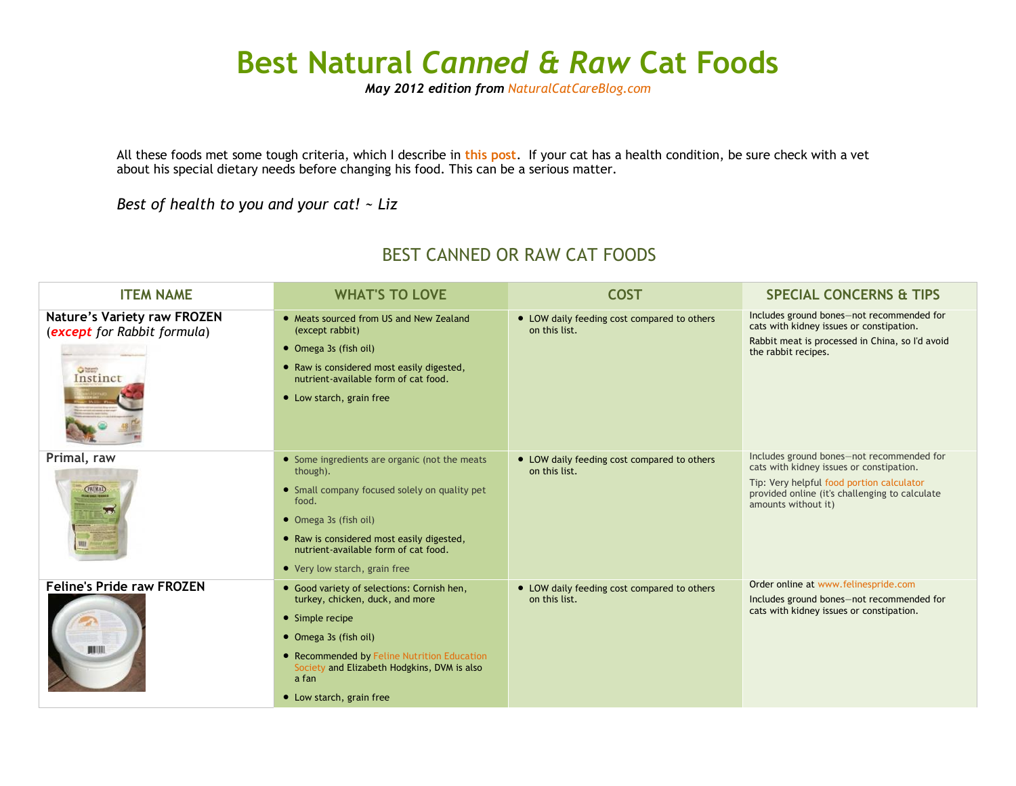## **Best Natural** *Canned & Raw* **Cat Foods**

*May 2012 edition from [NaturalCatCareBlog.com](http://www.naturalcatcareblog.com/)*

All these foods met some tough criteria, which I describe in **[this post](http://www.naturalcatcareblog.com/2011/08/what-is-the-best-cat-food-how-i-narrowed-it-down-to-a-short-list/)**. If your cat has a health condition, be sure check with a vet about his special dietary needs before changing his food. This can be a serious matter.

*Best of health to you and your cat! ~ Liz*

## BEST CANNED OR RAW CAT FOODS

| <b>ITEM NAME</b>                                                                                | <b>WHAT'S TO LOVE</b>                                                                                                                                                                                                                                              | <b>COST</b>                                                  | <b>SPECIAL CONCERNS &amp; TIPS</b>                                                                                                                                                                          |
|-------------------------------------------------------------------------------------------------|--------------------------------------------------------------------------------------------------------------------------------------------------------------------------------------------------------------------------------------------------------------------|--------------------------------------------------------------|-------------------------------------------------------------------------------------------------------------------------------------------------------------------------------------------------------------|
| <b>Nature's Variety raw FROZEN</b><br>(except for Rabbit formula)<br><b>O</b> March<br>Instinct | • Meats sourced from US and New Zealand<br>(except rabbit)<br>• Omega 3s (fish oil)<br>• Raw is considered most easily digested,<br>nutrient-available form of cat food.<br>• Low starch, grain free                                                               | • LOW daily feeding cost compared to others<br>on this list. | Includes ground bones-not recommended for<br>cats with kidney issues or constipation.<br>Rabbit meat is processed in China, so I'd avoid<br>the rabbit recipes.                                             |
| Primal, raw<br><b>CPRIMAL</b>                                                                   | • Some ingredients are organic (not the meats<br>though).<br>• Small company focused solely on quality pet<br>food.<br>• Omega 3s (fish oil)<br>• Raw is considered most easily digested,<br>nutrient-available form of cat food.<br>• Very low starch, grain free | • LOW daily feeding cost compared to others<br>on this list. | Includes ground bones-not recommended for<br>cats with kidney issues or constipation.<br>Tip: Very helpful food portion calculator<br>provided online (it's challenging to calculate<br>amounts without it) |
| <b>Feline's Pride raw FROZEN</b><br><b>HIMI</b>                                                 | • Good variety of selections: Cornish hen,<br>turkey, chicken, duck, and more<br>• Simple recipe<br>• Omega 3s (fish oil)<br>• Recommended by Feline Nutrition Education<br>Society and Elizabeth Hodgkins, DVM is also<br>a fan<br>• Low starch, grain free       | • LOW daily feeding cost compared to others<br>on this list. | Order online at www.felinespride.com<br>Includes ground bones-not recommended for<br>cats with kidney issues or constipation.                                                                               |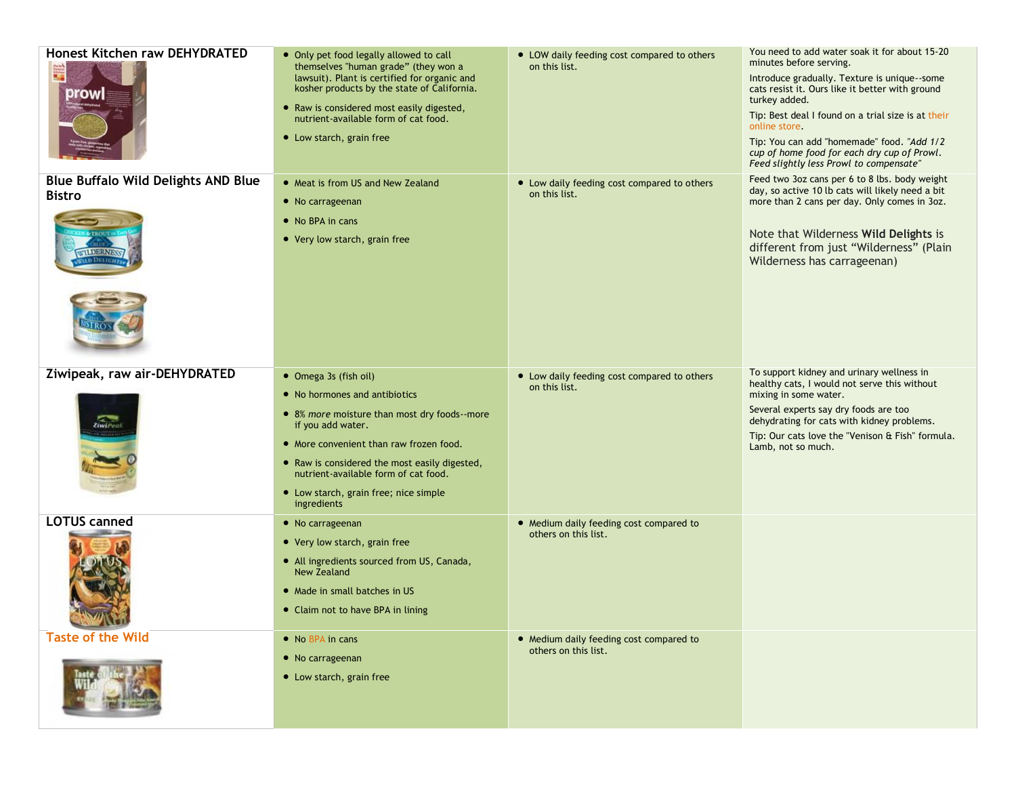| Honest Kitchen raw DEHYDRATED<br>≣<br>Drowl                 | • Only pet food legally allowed to call<br>themselves "human grade" (they won a<br>lawsuit). Plant is certified for organic and<br>kosher products by the state of California.<br>• Raw is considered most easily digested,<br>nutrient-available form of cat food.<br>• Low starch, grain free                         | • LOW daily feeding cost compared to others<br>on this list.    | You need to add water soak it for about 15-20<br>minutes before serving.<br>Introduce gradually. Texture is unique--some<br>cats resist it. Ours like it better with ground<br>turkey added.<br>Tip: Best deal I found on a trial size is at their<br>online store.<br>Tip: You can add "homemade" food. "Add 1/2<br>cup of home food for each dry cup of Prowl.<br>Feed slightly less Prowl to compensate" |
|-------------------------------------------------------------|-------------------------------------------------------------------------------------------------------------------------------------------------------------------------------------------------------------------------------------------------------------------------------------------------------------------------|-----------------------------------------------------------------|-------------------------------------------------------------------------------------------------------------------------------------------------------------------------------------------------------------------------------------------------------------------------------------------------------------------------------------------------------------------------------------------------------------|
| <b>Blue Buffalo Wild Delights AND Blue</b><br><b>Bistro</b> | • Meat is from US and New Zealand<br>• No carrageenan<br>• No BPA in cans<br>• Very low starch, grain free                                                                                                                                                                                                              | • Low daily feeding cost compared to others<br>on this list.    | Feed two 3oz cans per 6 to 8 lbs. body weight<br>day, so active 10 lb cats will likely need a bit<br>more than 2 cans per day. Only comes in 3oz.<br>Note that Wilderness Wild Delights is<br>different from just "Wilderness" (Plain<br>Wilderness has carrageenan)                                                                                                                                        |
| Ziwipeak, raw air-DEHYDRATED<br>ZiwiPeat                    | • Omega 3s (fish oil)<br>• No hormones and antibiotics<br>• 8% more moisture than most dry foods--more<br>if you add water.<br>• More convenient than raw frozen food.<br>• Raw is considered the most easily digested,<br>nutrient-available form of cat food.<br>• Low starch, grain free; nice simple<br>ingredients | • Low daily feeding cost compared to others<br>on this list.    | To support kidney and urinary wellness in<br>healthy cats, I would not serve this without<br>mixing in some water.<br>Several experts say dry foods are too<br>dehydrating for cats with kidney problems.<br>Tip: Our cats love the "Venison & Fish" formula.<br>Lamb, not so much.                                                                                                                         |
| <b>LOTUS canned</b><br><b>SERVICE IN CITY</b>               | • No carrageenan<br>• Very low starch, grain free<br>• All ingredients sourced from US, Canada,<br><b>New Zealand</b><br>• Made in small batches in US<br>• Claim not to have BPA in lining                                                                                                                             | • Medium daily feeding cost compared to<br>others on this list. |                                                                                                                                                                                                                                                                                                                                                                                                             |
| <b>Taste of the Wild</b>                                    | • No BPA in cans<br>• No carrageenan<br>• Low starch, grain free                                                                                                                                                                                                                                                        | • Medium daily feeding cost compared to<br>others on this list. |                                                                                                                                                                                                                                                                                                                                                                                                             |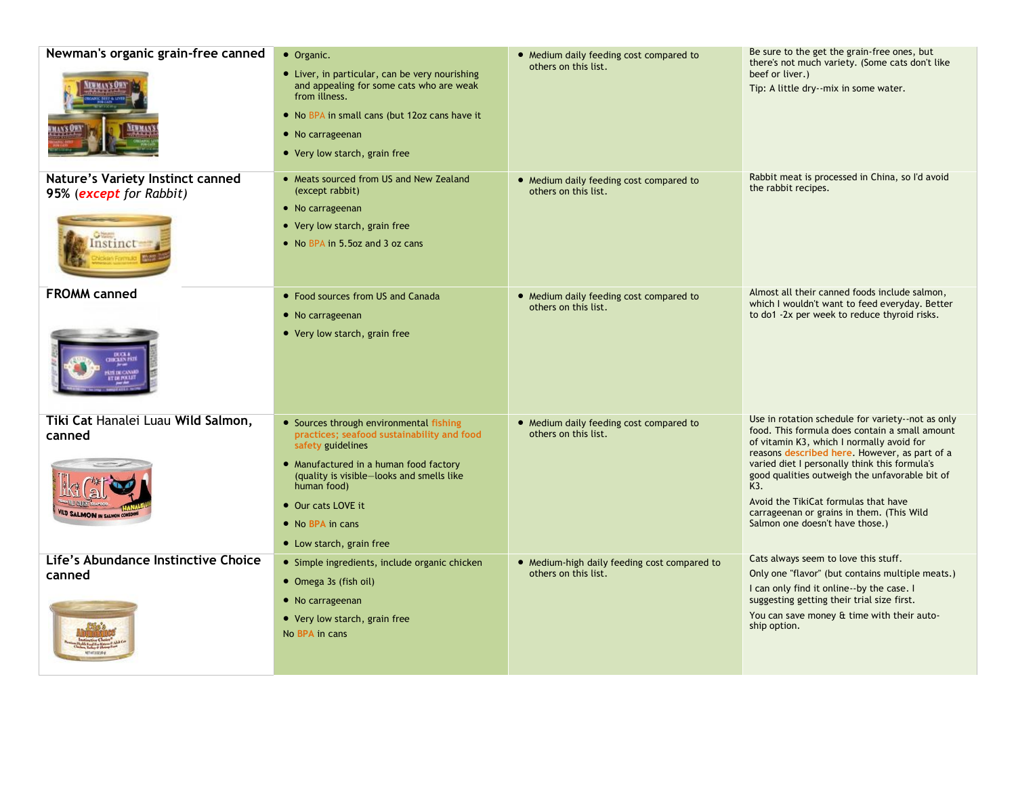| Newman's organic grain-free canned                          | • Organic.                                                                                                                                                                                                        | • Medium daily feeding cost compared to                         | Be sure to the get the grain-free ones, but                                                                                                             |
|-------------------------------------------------------------|-------------------------------------------------------------------------------------------------------------------------------------------------------------------------------------------------------------------|-----------------------------------------------------------------|---------------------------------------------------------------------------------------------------------------------------------------------------------|
|                                                             | • Liver, in particular, can be very nourishing<br>and appealing for some cats who are weak<br>from illness.<br>• No BPA in small cans (but 12oz cans have it<br>• No carrageenan<br>• Very low starch, grain free | others on this list.                                            | there's not much variety. (Some cats don't like<br>beef or liver.)<br>Tip: A little dry--mix in some water.                                             |
|                                                             |                                                                                                                                                                                                                   |                                                                 |                                                                                                                                                         |
| Nature's Variety Instinct canned<br>95% (except for Rabbit) | • Meats sourced from US and New Zealand<br>(except rabbit)<br>• No carrageenan                                                                                                                                    | • Medium daily feeding cost compared to<br>others on this list. | Rabbit meat is processed in China, so I'd avoid<br>the rabbit recipes.                                                                                  |
| Instinct                                                    | • Very low starch, grain free<br>• No BPA in 5.5oz and 3 oz cans                                                                                                                                                  |                                                                 |                                                                                                                                                         |
| <b>FROMM canned</b>                                         | • Food sources from US and Canada                                                                                                                                                                                 | • Medium daily feeding cost compared to                         | Almost all their canned foods include salmon,                                                                                                           |
|                                                             | • No carrageenan                                                                                                                                                                                                  | others on this list.                                            | which I wouldn't want to feed everyday. Better<br>to do1 -2x per week to reduce thyroid risks.                                                          |
|                                                             | • Very low starch, grain free                                                                                                                                                                                     |                                                                 |                                                                                                                                                         |
| Tiki Cat Hanalei Luau Wild Salmon,                          | • Sources through environmental fishing                                                                                                                                                                           | • Medium daily feeding cost compared to                         | Use in rotation schedule for variety--not as only<br>food. This formula does contain a small amount                                                     |
| canned                                                      | practices; seafood sustainability and food<br>safety guidelines                                                                                                                                                   | others on this list.                                            | of vitamin K3, which I normally avoid for                                                                                                               |
|                                                             | • Manufactured in a human food factory<br>(quality is visible-looks and smells like<br>human food)                                                                                                                |                                                                 | reasons described here. However, as part of a<br>varied diet I personally think this formula's<br>good qualities outweigh the unfavorable bit of<br>K3. |
| <b>ILD SALMON IN SALMON CONS</b>                            | • Our cats LOVE it                                                                                                                                                                                                |                                                                 | Avoid the TikiCat formulas that have<br>carrageenan or grains in them. (This Wild                                                                       |
|                                                             | • No BPA in cans                                                                                                                                                                                                  |                                                                 | Salmon one doesn't have those.)                                                                                                                         |
|                                                             | • Low starch, grain free                                                                                                                                                                                          |                                                                 |                                                                                                                                                         |
| Life's Abundance Instinctive Choice                         | • Simple ingredients, include organic chicken                                                                                                                                                                     | • Medium-high daily feeding cost compared to                    | Cats always seem to love this stuff.                                                                                                                    |
| canned                                                      | • Omega 3s (fish oil)                                                                                                                                                                                             | others on this list.                                            | Only one "flavor" (but contains multiple meats.)<br>I can only find it online--by the case. I                                                           |
|                                                             | • No carrageenan                                                                                                                                                                                                  |                                                                 | suggesting getting their trial size first.                                                                                                              |
|                                                             | • Very low starch, grain free<br>No BPA in cans                                                                                                                                                                   |                                                                 | You can save money & time with their auto-<br>ship option.                                                                                              |